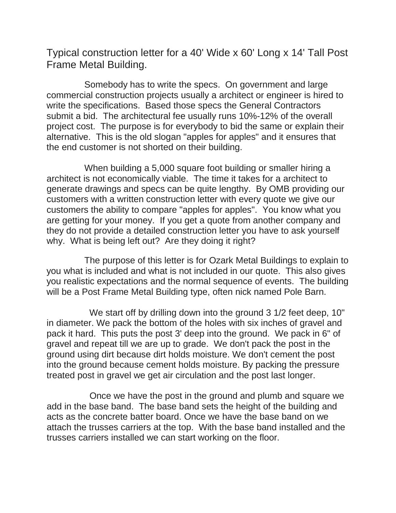Typical construction letter for a 40' Wide x 60' Long x 14' Tall Post Frame Metal Building.

Somebody has to write the specs. On government and large commercial construction projects usually a architect or engineer is hired to write the specifications. Based those specs the General Contractors submit a bid. The architectural fee usually runs 10%-12% of the overall project cost. The purpose is for everybody to bid the same or explain their alternative. This is the old slogan "apples for apples" and it ensures that the end customer is not shorted on their building.

When building a 5,000 square foot building or smaller hiring a architect is not economically viable. The time it takes for a architect to generate drawings and specs can be quite lengthy. By OMB providing our customers with a written construction letter with every quote we give our customers the ability to compare "apples for apples". You know what you are getting for your money. If you get a quote from another company and they do not provide a detailed construction letter you have to ask yourself why. What is being left out? Are they doing it right?

The purpose of this letter is for Ozark Metal Buildings to explain to you what is included and what is not included in our quote. This also gives you realistic expectations and the normal sequence of events. The building will be a Post Frame Metal Building type, often nick named Pole Barn.

We start off by drilling down into the ground 3 1/2 feet deep, 10" in diameter. We pack the bottom of the holes with six inches of gravel and pack it hard. This puts the post 3' deep into the ground. We pack in 6" of gravel and repeat till we are up to grade. We don't pack the post in the ground using dirt because dirt holds moisture. We don't cement the post into the ground because cement holds moisture. By packing the pressure treated post in gravel we get air circulation and the post last longer.

Once we have the post in the ground and plumb and square we add in the base band. The base band sets the height of the building and acts as the concrete batter board. Once we have the base band on we attach the trusses carriers at the top. With the base band installed and the trusses carriers installed we can start working on the floor.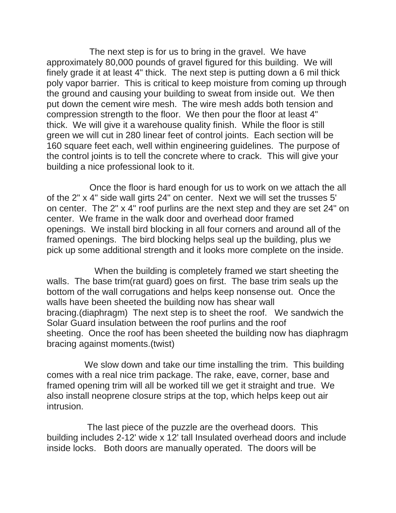The next step is for us to bring in the gravel. We have approximately 80,000 pounds of gravel figured for this building. We will finely grade it at least 4" thick. The next step is putting down a 6 mil thick poly vapor barrier. This is critical to keep moisture from coming up through the ground and causing your building to sweat from inside out. We then put down the cement wire mesh. The wire mesh adds both tension and compression strength to the floor. We then pour the floor at least 4" thick. We will give it a warehouse quality finish. While the floor is still green we will cut in 280 linear feet of control joints. Each section will be 160 square feet each, well within engineering guidelines. The purpose of the control joints is to tell the concrete where to crack. This will give your building a nice professional look to it.

Once the floor is hard enough for us to work on we attach the all of the 2" x 4" side wall girts 24" on center. Next we will set the trusses 5' on center. The 2" x 4" roof purlins are the next step and they are set 24" on center. We frame in the walk door and overhead door framed openings. We install bird blocking in all four corners and around all of the framed openings. The bird blocking helps seal up the building, plus we pick up some additional strength and it looks more complete on the inside.

When the building is completely framed we start sheeting the walls. The base trim(rat guard) goes on first. The base trim seals up the bottom of the wall corrugations and helps keep nonsense out. Once the walls have been sheeted the building now has shear wall bracing.(diaphragm) The next step is to sheet the roof. We sandwich the Solar Guard insulation between the roof purlins and the roof sheeting. Once the roof has been sheeted the building now has diaphragm bracing against moments.(twist)

We slow down and take our time installing the trim. This building comes with a real nice trim package. The rake, eave, corner, base and framed opening trim will all be worked till we get it straight and true. We also install neoprene closure strips at the top, which helps keep out air intrusion.

The last piece of the puzzle are the overhead doors. This building includes 2-12' wide x 12' tall Insulated overhead doors and include inside locks. Both doors are manually operated. The doors will be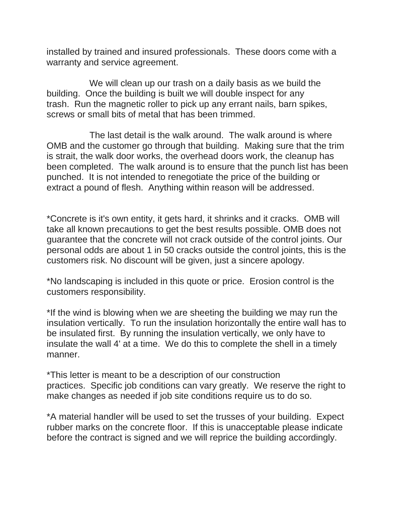installed by trained and insured professionals. These doors come with a warranty and service agreement.

We will clean up our trash on a daily basis as we build the building. Once the building is built we will double inspect for any trash. Run the magnetic roller to pick up any errant nails, barn spikes, screws or small bits of metal that has been trimmed.

The last detail is the walk around. The walk around is where OMB and the customer go through that building. Making sure that the trim is strait, the walk door works, the overhead doors work, the cleanup has been completed. The walk around is to ensure that the punch list has been punched. It is not intended to renegotiate the price of the building or extract a pound of flesh. Anything within reason will be addressed.

\*Concrete is it's own entity, it gets hard, it shrinks and it cracks. OMB will take all known precautions to get the best results possible. OMB does not guarantee that the concrete will not crack outside of the control joints. Our personal odds are about 1 in 50 cracks outside the control joints, this is the customers risk. No discount will be given, just a sincere apology.

\*No landscaping is included in this quote or price. Erosion control is the customers responsibility.

\*If the wind is blowing when we are sheeting the building we may run the insulation vertically. To run the insulation horizontally the entire wall has to be insulated first. By running the insulation vertically, we only have to insulate the wall 4' at a time. We do this to complete the shell in a timely manner.

\*This letter is meant to be a description of our construction practices. Specific job conditions can vary greatly. We reserve the right to make changes as needed if job site conditions require us to do so.

\*A material handler will be used to set the trusses of your building. Expect rubber marks on the concrete floor. If this is unacceptable please indicate before the contract is signed and we will reprice the building accordingly.